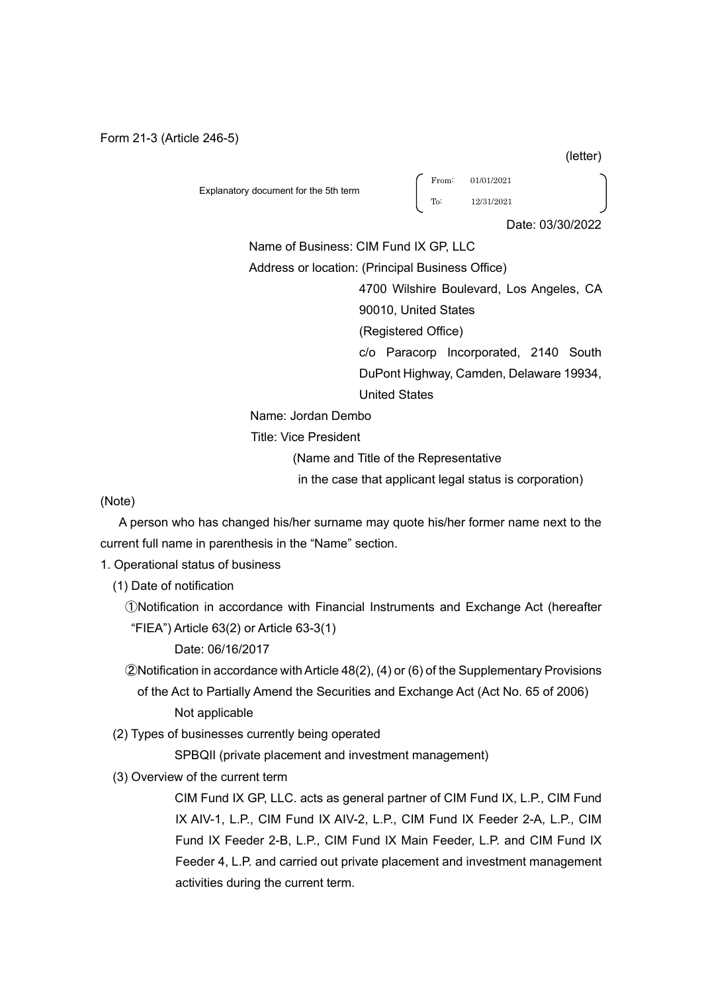Form 21-3 (Article 246-5)

Explanatory document for the 5th term

From: 01/01/2021 To: 12/31/2021

Date: 03/30/2022

Name of Business: CIM Fund IX GP, LLC

Address or location: (Principal Business Office)

4700 Wilshire Boulevard, Los Angeles, CA

90010, United States

(Registered Office)

c/o Paracorp Incorporated, 2140 South DuPont Highway, Camden, Delaware 19934, United States

Name: Jordan Dembo

Title: Vice President

(Name and Title of the Representative

in the case that applicant legal status is corporation)

(Note)

 A person who has changed his/her surname may quote his/her former name next to the current full name in parenthesis in the "Name" section.

1. Operational status of business

(1) Date of notification

①Notification in accordance with Financial Instruments and Exchange Act (hereafter "FIEA") Article 63(2) or Article 63-3(1)

Date: 06/16/2017

②Notification in accordance with Article 48(2), (4) or (6) of the Supplementary Provisions

of the Act to Partially Amend the Securities and Exchange Act (Act No. 65 of 2006) Not applicable

(2) Types of businesses currently being operated

SPBQII (private placement and investment management)

(3) Overview of the current term

 CIM Fund IX GP, LLC. acts as general partner of CIM Fund IX, L.P., CIM Fund IX AIV-1, L.P., CIM Fund IX AIV-2, L.P., CIM Fund IX Feeder 2-A, L.P., CIM Fund IX Feeder 2-B, L.P., CIM Fund IX Main Feeder, L.P. and CIM Fund IX Feeder 4, L.P. and carried out private placement and investment management activities during the current term.

(letter)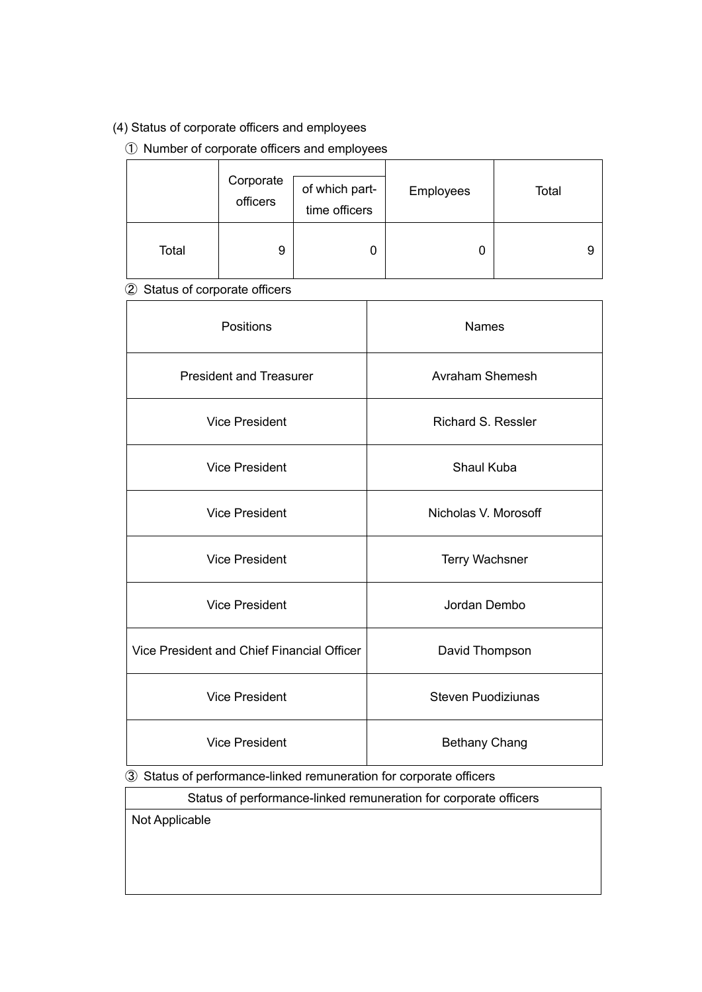## (4) Status of corporate officers and employees

## ① Number of corporate officers and employees

|       | Corporate<br>officers | of which part-<br>time officers | Employees | Total |
|-------|-----------------------|---------------------------------|-----------|-------|
| Total | 9                     | 0                               |           |       |

# ② Status of corporate officers

| Positions                                  | <b>Names</b>              |
|--------------------------------------------|---------------------------|
| <b>President and Treasurer</b>             | Avraham Shemesh           |
| <b>Vice President</b>                      | <b>Richard S. Ressler</b> |
| <b>Vice President</b>                      | Shaul Kuba                |
| <b>Vice President</b>                      | Nicholas V. Morosoff      |
| <b>Vice President</b>                      | <b>Terry Wachsner</b>     |
| <b>Vice President</b>                      | Jordan Dembo              |
| Vice President and Chief Financial Officer | David Thompson            |
| <b>Vice President</b>                      | <b>Steven Puodiziunas</b> |
| <b>Vice President</b>                      | <b>Bethany Chang</b>      |

③ Status of performance-linked remuneration for corporate officers

Status of performance-linked remuneration for corporate officers

Not Applicable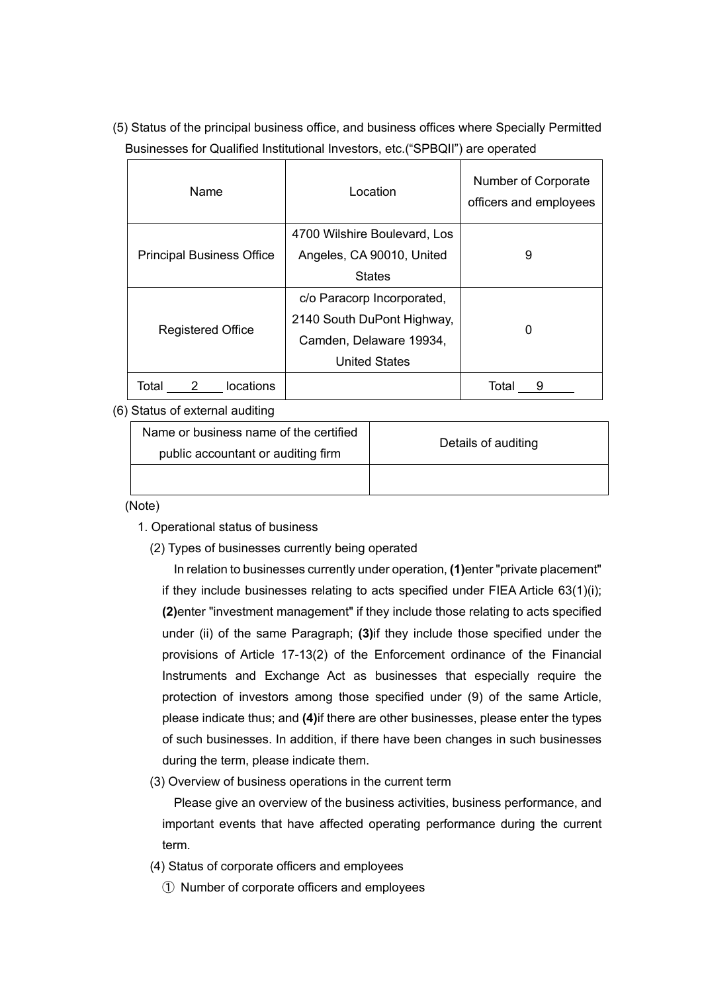(5) Status of the principal business office, and business offices where Specially Permitted Businesses for Qualified Institutional Investors, etc.("SPBQII") are operated

| Name                             | Location                     | Number of Corporate<br>officers and employees |
|----------------------------------|------------------------------|-----------------------------------------------|
|                                  | 4700 Wilshire Boulevard, Los |                                               |
| <b>Principal Business Office</b> | Angeles, CA 90010, United    | 9                                             |
|                                  | <b>States</b>                |                                               |
|                                  | c/o Paracorp Incorporated,   |                                               |
| <b>Registered Office</b>         | 2140 South DuPont Highway,   | 0                                             |
|                                  | Camden, Delaware 19934,      |                                               |
|                                  | <b>United States</b>         |                                               |
| Total<br>locations               |                              | Total                                         |

### (6) Status of external auditing

| Name or business name of the certified<br>public accountant or auditing firm | Details of auditing |
|------------------------------------------------------------------------------|---------------------|
|                                                                              |                     |

(Note)

- 1. Operational status of business
	- (2) Types of businesses currently being operated

In relation to businesses currently under operation, **(1)**enter "private placement" if they include businesses relating to acts specified under FIEA Article 63(1)(i); **(2)**enter "investment management" if they include those relating to acts specified under (ii) of the same Paragraph; **(3)**if they include those specified under the provisions of Article 17-13(2) of the Enforcement ordinance of the Financial Instruments and Exchange Act as businesses that especially require the protection of investors among those specified under (9) of the same Article, please indicate thus; and **(4)**if there are other businesses, please enter the types of such businesses. In addition, if there have been changes in such businesses during the term, please indicate them.

(3) Overview of business operations in the current term

Please give an overview of the business activities, business performance, and important events that have affected operating performance during the current term.

- (4) Status of corporate officers and employees
	- ① Number of corporate officers and employees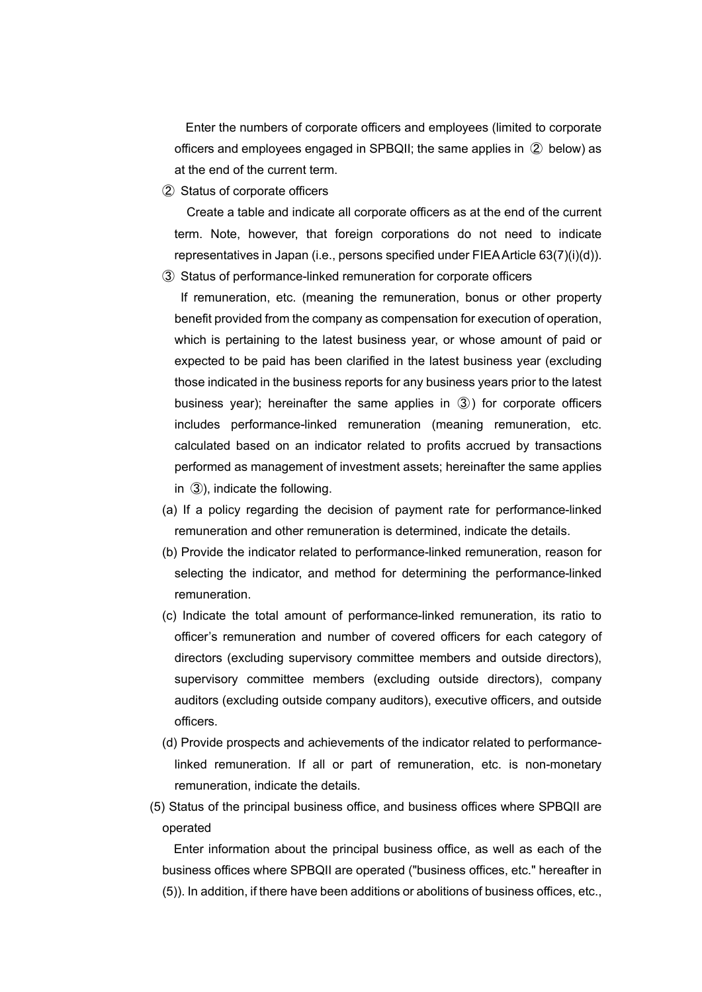Enter the numbers of corporate officers and employees (limited to corporate officers and employees engaged in SPBQII; the same applies in ② below) as at the end of the current term.

② Status of corporate officers

Create a table and indicate all corporate officers as at the end of the current term. Note, however, that foreign corporations do not need to indicate representatives in Japan (i.e., persons specified under FIEA Article 63(7)(i)(d)).

③ Status of performance-linked remuneration for corporate officers

 If remuneration, etc. (meaning the remuneration, bonus or other property benefit provided from the company as compensation for execution of operation, which is pertaining to the latest business year, or whose amount of paid or expected to be paid has been clarified in the latest business year (excluding those indicated in the business reports for any business years prior to the latest business year); hereinafter the same applies in ③) for corporate officers includes performance-linked remuneration (meaning remuneration, etc. calculated based on an indicator related to profits accrued by transactions performed as management of investment assets; hereinafter the same applies in ③), indicate the following.

- (a) If a policy regarding the decision of payment rate for performance-linked remuneration and other remuneration is determined, indicate the details.
- (b) Provide the indicator related to performance-linked remuneration, reason for selecting the indicator, and method for determining the performance-linked remuneration.
- (c) Indicate the total amount of performance-linked remuneration, its ratio to officer's remuneration and number of covered officers for each category of directors (excluding supervisory committee members and outside directors), supervisory committee members (excluding outside directors), company auditors (excluding outside company auditors), executive officers, and outside officers.
- (d) Provide prospects and achievements of the indicator related to performancelinked remuneration. If all or part of remuneration, etc. is non-monetary remuneration, indicate the details.
- (5) Status of the principal business office, and business offices where SPBQII are operated

Enter information about the principal business office, as well as each of the business offices where SPBQII are operated ("business offices, etc." hereafter in (5)). In addition, if there have been additions or abolitions of business offices, etc.,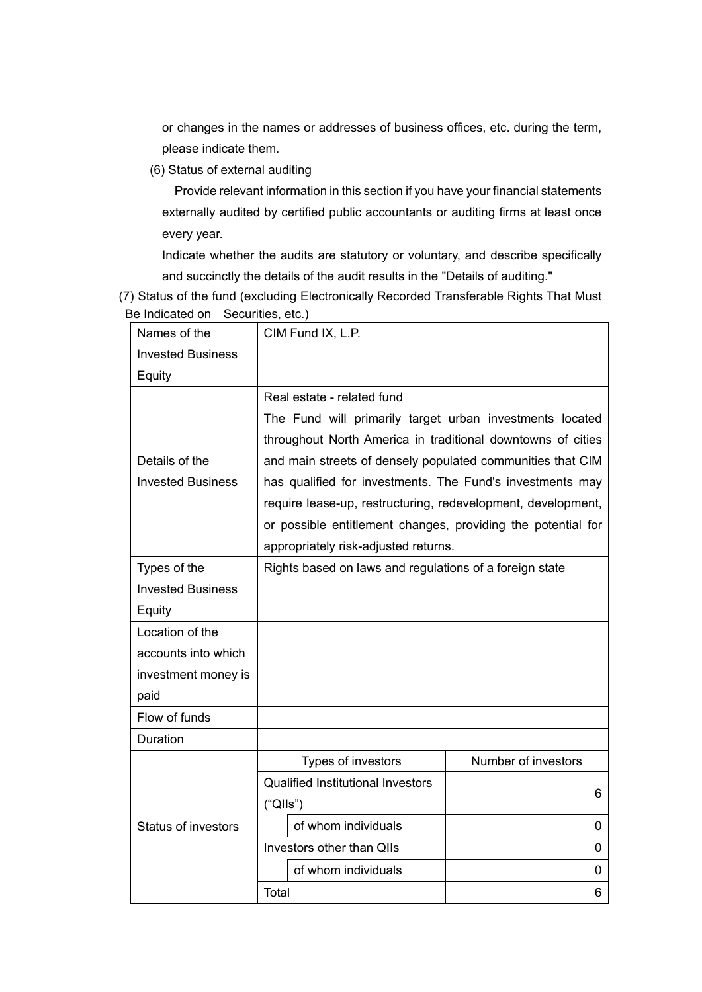or changes in the names or addresses of business offices, etc. during the term, please indicate them.

(6) Status of external auditing

Provide relevant information in this section if you have your financial statements externally audited by certified public accountants or auditing firms at least once every year.

Indicate whether the audits are statutory or voluntary, and describe specifically and succinctly the details of the audit results in the "Details of auditing."

(7) Status of the fund (excluding Electronically Recorded Transferable Rights That Must Be Indicated on Securities, etc.)

| Names of the               | CIM Fund IX, L.P.                                            |                     |  |  |
|----------------------------|--------------------------------------------------------------|---------------------|--|--|
| <b>Invested Business</b>   |                                                              |                     |  |  |
| Equity                     |                                                              |                     |  |  |
|                            | Real estate - related fund                                   |                     |  |  |
|                            | The Fund will primarily target urban investments located     |                     |  |  |
|                            | throughout North America in traditional downtowns of cities  |                     |  |  |
| Details of the             | and main streets of densely populated communities that CIM   |                     |  |  |
| <b>Invested Business</b>   | has qualified for investments. The Fund's investments may    |                     |  |  |
|                            | require lease-up, restructuring, redevelopment, development, |                     |  |  |
|                            | or possible entitlement changes, providing the potential for |                     |  |  |
|                            | appropriately risk-adjusted returns.                         |                     |  |  |
| Types of the               | Rights based on laws and regulations of a foreign state      |                     |  |  |
| <b>Invested Business</b>   |                                                              |                     |  |  |
| Equity                     |                                                              |                     |  |  |
| Location of the            |                                                              |                     |  |  |
| accounts into which        |                                                              |                     |  |  |
| investment money is        |                                                              |                     |  |  |
| paid                       |                                                              |                     |  |  |
| Flow of funds              |                                                              |                     |  |  |
| Duration                   |                                                              |                     |  |  |
|                            | Types of investors                                           | Number of investors |  |  |
|                            | <b>Qualified Institutional Investors</b>                     | 6                   |  |  |
|                            | ("QIls")                                                     |                     |  |  |
| <b>Status of investors</b> | of whom individuals                                          | 0                   |  |  |
|                            | Investors other than QIIs                                    | 0                   |  |  |
|                            | of whom individuals                                          | 0                   |  |  |
|                            | Total                                                        | 6                   |  |  |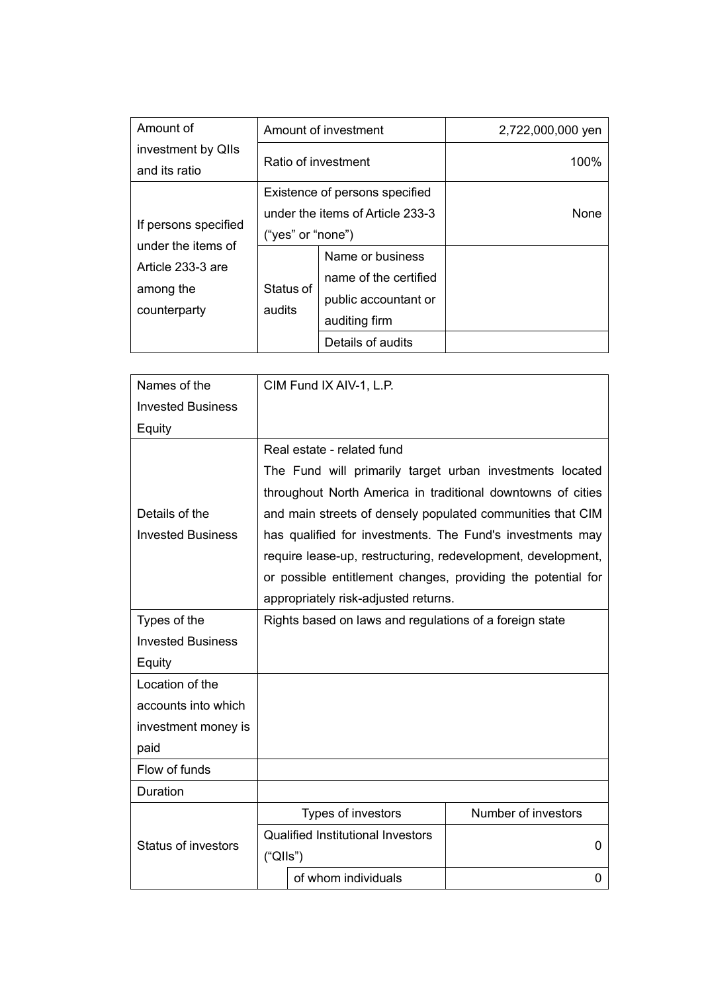| Amount of                                                            |                                                                                         | Amount of investment                                                               | 2,722,000,000 yen |
|----------------------------------------------------------------------|-----------------------------------------------------------------------------------------|------------------------------------------------------------------------------------|-------------------|
| investment by QIIs<br>and its ratio                                  | Ratio of investment                                                                     |                                                                                    | 100%              |
| If persons specified                                                 | Existence of persons specified<br>under the items of Article 233-3<br>("yes" or "none") |                                                                                    | None              |
| under the items of<br>Article 233-3 are<br>among the<br>counterparty | Status of<br>audits                                                                     | Name or business<br>name of the certified<br>public accountant or<br>auditing firm |                   |
|                                                                      |                                                                                         | Details of audits                                                                  |                   |

| Names of the               | CIM Fund IX AIV-1, L.P.                                      |                     |  |  |
|----------------------------|--------------------------------------------------------------|---------------------|--|--|
| <b>Invested Business</b>   |                                                              |                     |  |  |
| Equity                     |                                                              |                     |  |  |
|                            | Real estate - related fund                                   |                     |  |  |
|                            | The Fund will primarily target urban investments located     |                     |  |  |
|                            | throughout North America in traditional downtowns of cities  |                     |  |  |
| Details of the             | and main streets of densely populated communities that CIM   |                     |  |  |
| <b>Invested Business</b>   | has qualified for investments. The Fund's investments may    |                     |  |  |
|                            | require lease-up, restructuring, redevelopment, development, |                     |  |  |
|                            | or possible entitlement changes, providing the potential for |                     |  |  |
|                            | appropriately risk-adjusted returns.                         |                     |  |  |
| Types of the               | Rights based on laws and regulations of a foreign state      |                     |  |  |
| <b>Invested Business</b>   |                                                              |                     |  |  |
| Equity                     |                                                              |                     |  |  |
| Location of the            |                                                              |                     |  |  |
| accounts into which        |                                                              |                     |  |  |
| investment money is        |                                                              |                     |  |  |
| paid                       |                                                              |                     |  |  |
| Flow of funds              |                                                              |                     |  |  |
| Duration                   |                                                              |                     |  |  |
|                            | Types of investors                                           | Number of investors |  |  |
| <b>Status of investors</b> | <b>Qualified Institutional Investors</b>                     | 0                   |  |  |
|                            | ("QIls")                                                     |                     |  |  |
|                            | of whom individuals                                          | 0                   |  |  |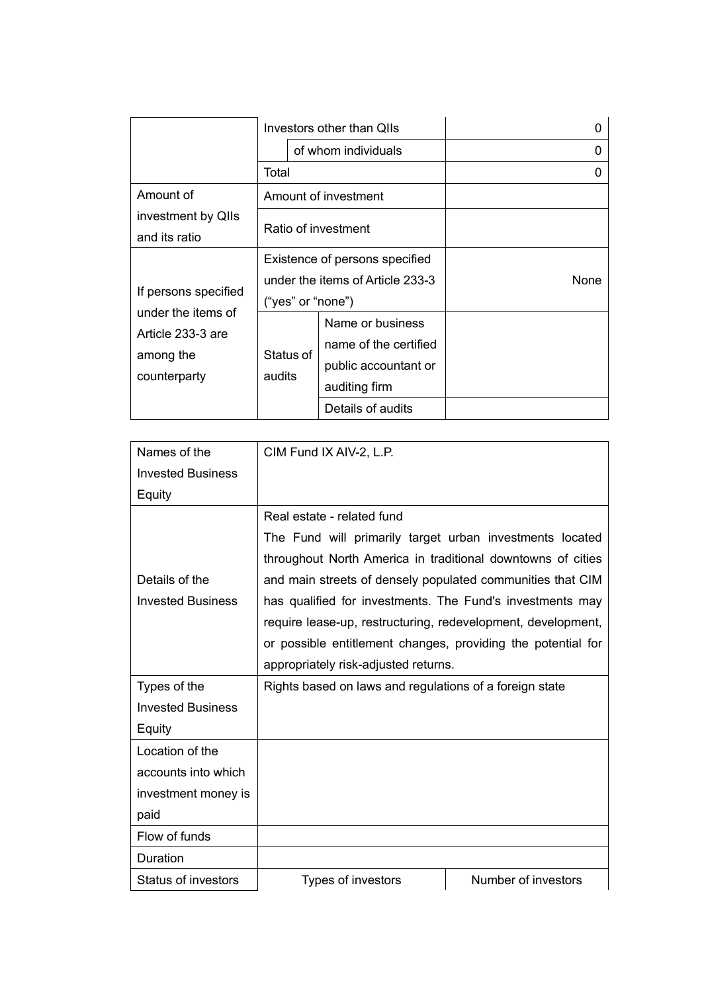|                                                | Investors other than QIIs        |                       |      |
|------------------------------------------------|----------------------------------|-----------------------|------|
|                                                | of whom individuals              |                       |      |
|                                                | Total                            |                       |      |
| Amount of                                      | Amount of investment             |                       |      |
| investment by QIIs                             | Ratio of investment              |                       |      |
| and its ratio                                  |                                  |                       |      |
|                                                | Existence of persons specified   |                       |      |
|                                                | under the items of Article 233-3 |                       | None |
| If persons specified<br>under the items of     | ("yes" or "none")                |                       |      |
| Article 233-3 are<br>among the<br>counterparty |                                  | Name or business      |      |
|                                                | Status of<br>audits              | name of the certified |      |
|                                                |                                  | public accountant or  |      |
|                                                |                                  | auditing firm         |      |
|                                                |                                  | Details of audits     |      |

| Names of the               | CIM Fund IX AIV-2, L.P.                                      |                     |  |
|----------------------------|--------------------------------------------------------------|---------------------|--|
| <b>Invested Business</b>   |                                                              |                     |  |
| Equity                     |                                                              |                     |  |
|                            | Real estate - related fund                                   |                     |  |
|                            | The Fund will primarily target urban investments located     |                     |  |
|                            | throughout North America in traditional downtowns of cities  |                     |  |
| Details of the             | and main streets of densely populated communities that CIM   |                     |  |
| <b>Invested Business</b>   | has qualified for investments. The Fund's investments may    |                     |  |
|                            | require lease-up, restructuring, redevelopment, development, |                     |  |
|                            | or possible entitlement changes, providing the potential for |                     |  |
|                            | appropriately risk-adjusted returns.                         |                     |  |
| Types of the               | Rights based on laws and regulations of a foreign state      |                     |  |
| <b>Invested Business</b>   |                                                              |                     |  |
| Equity                     |                                                              |                     |  |
| Location of the            |                                                              |                     |  |
| accounts into which        |                                                              |                     |  |
| investment money is        |                                                              |                     |  |
| paid                       |                                                              |                     |  |
| Flow of funds              |                                                              |                     |  |
| Duration                   |                                                              |                     |  |
| <b>Status of investors</b> | Types of investors                                           | Number of investors |  |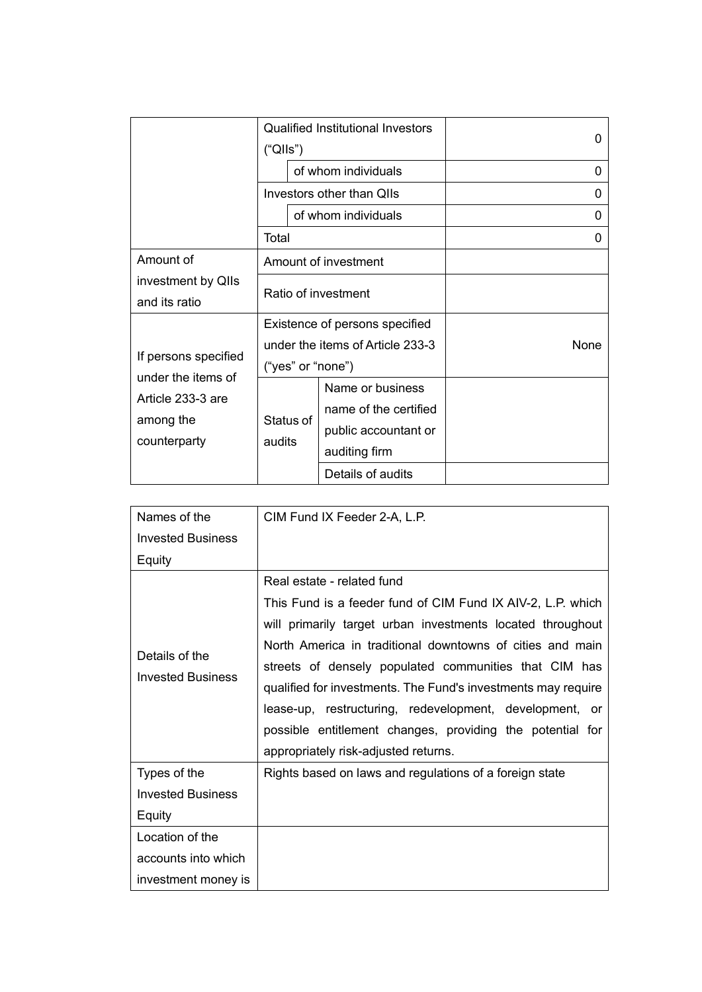|                                                | <b>Qualified Institutional Investors</b><br>("QIls")               |                                                                                    | 0        |
|------------------------------------------------|--------------------------------------------------------------------|------------------------------------------------------------------------------------|----------|
|                                                |                                                                    | of whom individuals                                                                | 0        |
|                                                | Investors other than QIIs                                          |                                                                                    | $\Omega$ |
|                                                | of whom individuals                                                |                                                                                    | 0        |
|                                                | Total                                                              |                                                                                    | 0        |
| Amount of                                      |                                                                    | Amount of investment                                                               |          |
| investment by QIIs<br>and its ratio            | Ratio of investment                                                |                                                                                    |          |
| If persons specified                           | Existence of persons specified<br>under the items of Article 233-3 |                                                                                    | None     |
| under the items of                             | ("yes" or "none")                                                  |                                                                                    |          |
| Article 233-3 are<br>among the<br>counterparty | Status of<br>audits                                                | Name or business<br>name of the certified<br>public accountant or<br>auditing firm |          |
|                                                |                                                                    | Details of audits                                                                  |          |

| Names of the             | CIM Fund IX Feeder 2-A, L.P.                                                              |  |  |
|--------------------------|-------------------------------------------------------------------------------------------|--|--|
| <b>Invested Business</b> |                                                                                           |  |  |
| Equity                   |                                                                                           |  |  |
|                          | Real estate - related fund<br>This Fund is a feeder fund of CIM Fund IX AIV-2, L.P. which |  |  |
|                          | will primarily target urban investments located throughout                                |  |  |
| Details of the           | North America in traditional downtowns of cities and main                                 |  |  |
| <b>Invested Business</b> | streets of densely populated communities that CIM has                                     |  |  |
|                          | qualified for investments. The Fund's investments may require                             |  |  |
|                          | lease-up, restructuring, redevelopment, development, or                                   |  |  |
|                          | possible entitlement changes, providing the potential for                                 |  |  |
|                          | appropriately risk-adjusted returns.                                                      |  |  |
| Types of the             | Rights based on laws and regulations of a foreign state                                   |  |  |
| <b>Invested Business</b> |                                                                                           |  |  |
| Equity                   |                                                                                           |  |  |
| Location of the          |                                                                                           |  |  |
| accounts into which      |                                                                                           |  |  |
| investment money is      |                                                                                           |  |  |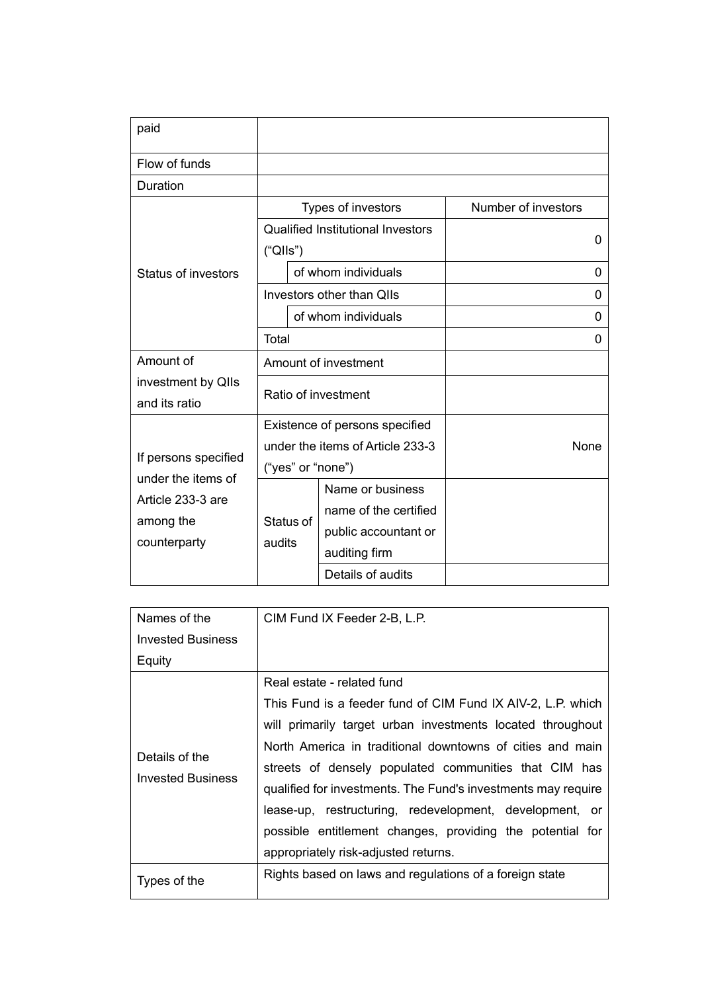| paid                                                                                         |                                  |                                          |                     |
|----------------------------------------------------------------------------------------------|----------------------------------|------------------------------------------|---------------------|
| Flow of funds                                                                                |                                  |                                          |                     |
| Duration                                                                                     |                                  |                                          |                     |
|                                                                                              |                                  | Types of investors                       | Number of investors |
|                                                                                              |                                  | <b>Qualified Institutional Investors</b> |                     |
|                                                                                              | ("QIls")                         |                                          | 0                   |
| Status of investors                                                                          |                                  | of whom individuals                      | 0                   |
|                                                                                              |                                  | Investors other than QIIs                | 0                   |
|                                                                                              | of whom individuals              |                                          | $\Omega$            |
|                                                                                              | Total                            |                                          | 0                   |
| Amount of                                                                                    |                                  | Amount of investment                     |                     |
| investment by QIIs                                                                           |                                  |                                          |                     |
| and its ratio                                                                                | Ratio of investment              |                                          |                     |
|                                                                                              |                                  | Existence of persons specified           |                     |
|                                                                                              | under the items of Article 233-3 |                                          | None                |
| If persons specified<br>under the items of<br>Article 233-3 are<br>among the<br>counterparty | ("yes" or "none")                |                                          |                     |
|                                                                                              |                                  | Name or business                         |                     |
|                                                                                              | Status of<br>audits              | name of the certified                    |                     |
|                                                                                              |                                  | public accountant or                     |                     |
|                                                                                              |                                  | auditing firm                            |                     |
|                                                                                              |                                  | Details of audits                        |                     |

| Names of the                               | CIM Fund IX Feeder 2-B, L.P.                                  |  |  |
|--------------------------------------------|---------------------------------------------------------------|--|--|
| <b>Invested Business</b>                   |                                                               |  |  |
| Equity                                     |                                                               |  |  |
|                                            | Real estate - related fund                                    |  |  |
| Details of the<br><b>Invested Business</b> | This Fund is a feeder fund of CIM Fund IX AIV-2, L.P. which   |  |  |
|                                            | will primarily target urban investments located throughout    |  |  |
|                                            | North America in traditional downtowns of cities and main     |  |  |
|                                            | streets of densely populated communities that CIM has         |  |  |
|                                            | qualified for investments. The Fund's investments may require |  |  |
|                                            | lease-up, restructuring, redevelopment, development, or       |  |  |
|                                            | possible entitlement changes, providing the potential for     |  |  |
|                                            | appropriately risk-adjusted returns.                          |  |  |
| Types of the                               | Rights based on laws and regulations of a foreign state       |  |  |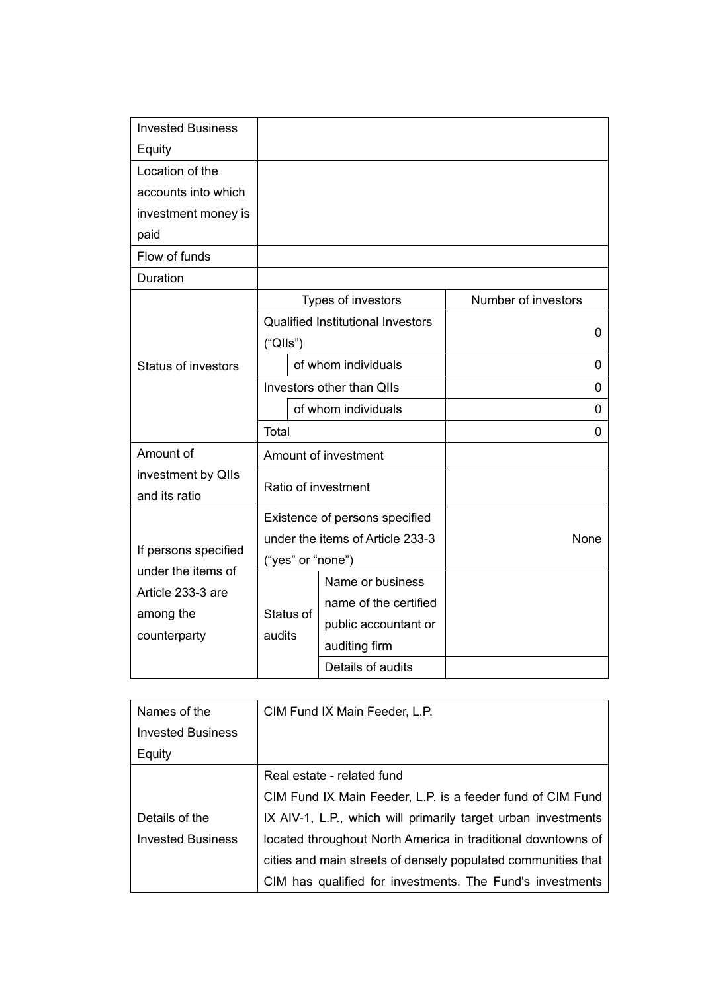| <b>Invested Business</b>   |                                  |                                          |                     |
|----------------------------|----------------------------------|------------------------------------------|---------------------|
| Equity                     |                                  |                                          |                     |
| Location of the            |                                  |                                          |                     |
| accounts into which        |                                  |                                          |                     |
| investment money is        |                                  |                                          |                     |
| paid                       |                                  |                                          |                     |
| Flow of funds              |                                  |                                          |                     |
| Duration                   |                                  |                                          |                     |
|                            |                                  | Types of investors                       | Number of investors |
|                            |                                  | <b>Qualified Institutional Investors</b> | $\mathbf 0$         |
|                            | ("Qlls")                         |                                          |                     |
| <b>Status of investors</b> | of whom individuals              |                                          | 0                   |
|                            | Investors other than QIIs        |                                          | 0                   |
|                            | of whom individuals              |                                          | 0                   |
|                            | Total                            |                                          | $\Omega$            |
| Amount of                  | Amount of investment             |                                          |                     |
| investment by QIIs         | Ratio of investment              |                                          |                     |
| and its ratio              |                                  |                                          |                     |
|                            | Existence of persons specified   |                                          |                     |
| If persons specified       | under the items of Article 233-3 |                                          | None                |
|                            | ("yes" or "none")                |                                          |                     |
| under the items of         |                                  | Name or business                         |                     |
| Article 233-3 are          |                                  | name of the certified                    |                     |
| among the                  | Status of                        | public accountant or                     |                     |
| counterparty               | audits                           | auditing firm                            |                     |
|                            |                                  | Details of audits                        |                     |

| Names of the             | CIM Fund IX Main Feeder, L.P.                                 |  |  |
|--------------------------|---------------------------------------------------------------|--|--|
| <b>Invested Business</b> |                                                               |  |  |
| Equity                   |                                                               |  |  |
|                          | Real estate - related fund                                    |  |  |
|                          | CIM Fund IX Main Feeder, L.P. is a feeder fund of CIM Fund    |  |  |
| Details of the           | IX AIV-1, L.P., which will primarily target urban investments |  |  |
| <b>Invested Business</b> | located throughout North America in traditional downtowns of  |  |  |
|                          | cities and main streets of densely populated communities that |  |  |
|                          | CIM has qualified for investments. The Fund's investments     |  |  |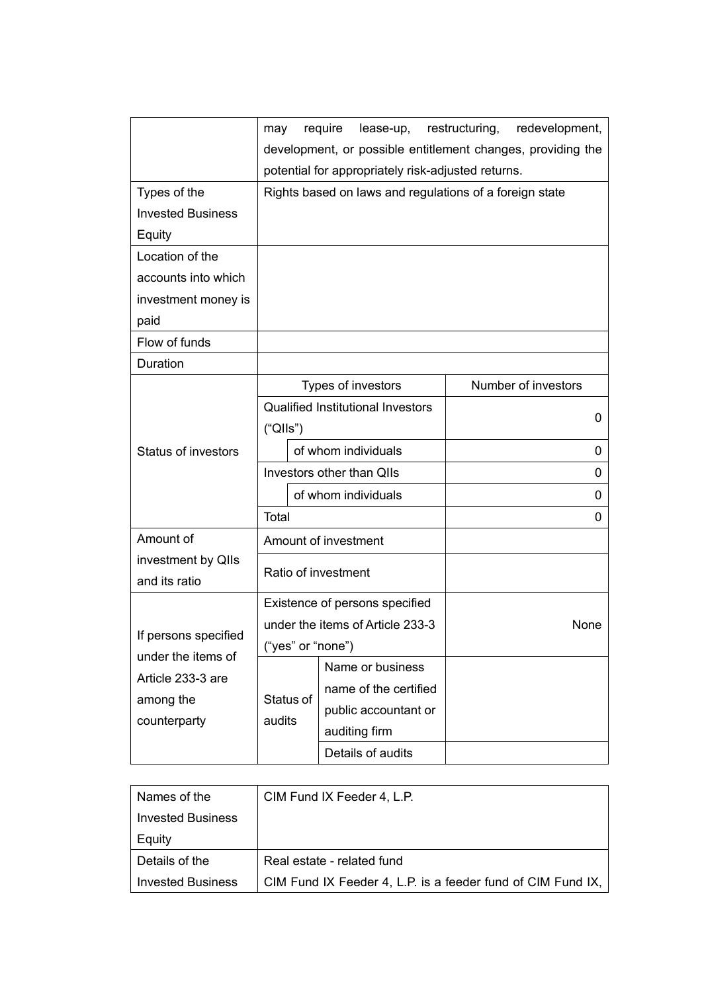|                            | may                                                         | require<br>lease-up,  | restructuring,<br>redevelopment, |
|----------------------------|-------------------------------------------------------------|-----------------------|----------------------------------|
|                            | development, or possible entitlement changes, providing the |                       |                                  |
|                            | potential for appropriately risk-adjusted returns.          |                       |                                  |
| Types of the               | Rights based on laws and regulations of a foreign state     |                       |                                  |
| <b>Invested Business</b>   |                                                             |                       |                                  |
| Equity                     |                                                             |                       |                                  |
| Location of the            |                                                             |                       |                                  |
| accounts into which        |                                                             |                       |                                  |
| investment money is        |                                                             |                       |                                  |
| paid                       |                                                             |                       |                                  |
| Flow of funds              |                                                             |                       |                                  |
| Duration                   |                                                             |                       |                                  |
|                            |                                                             | Types of investors    | Number of investors              |
|                            | <b>Qualified Institutional Investors</b>                    |                       | 0                                |
|                            | ("QIls")                                                    |                       |                                  |
| <b>Status of investors</b> | of whom individuals                                         |                       | 0                                |
|                            | Investors other than QIIs                                   |                       | 0                                |
|                            | of whom individuals                                         |                       | 0                                |
|                            | Total                                                       |                       | 0                                |
| Amount of                  |                                                             | Amount of investment  |                                  |
| investment by QIIs         |                                                             |                       |                                  |
| and its ratio              | Ratio of investment                                         |                       |                                  |
|                            | Existence of persons specified                              |                       |                                  |
|                            | under the items of Article 233-3                            |                       | None                             |
| If persons specified       | ("yes" or "none")                                           |                       |                                  |
| under the items of         |                                                             | Name or business      |                                  |
| Article 233-3 are          |                                                             | name of the certified |                                  |
| among the                  | Status of                                                   | public accountant or  |                                  |
| counterparty               | audits                                                      | auditing firm         |                                  |
|                            |                                                             | Details of audits     |                                  |

| Names of the             | CIM Fund IX Feeder 4, L.P.                                  |
|--------------------------|-------------------------------------------------------------|
| <b>Invested Business</b> |                                                             |
| Equity                   |                                                             |
| Details of the           | Real estate - related fund                                  |
| <b>Invested Business</b> | CIM Fund IX Feeder 4, L.P. is a feeder fund of CIM Fund IX, |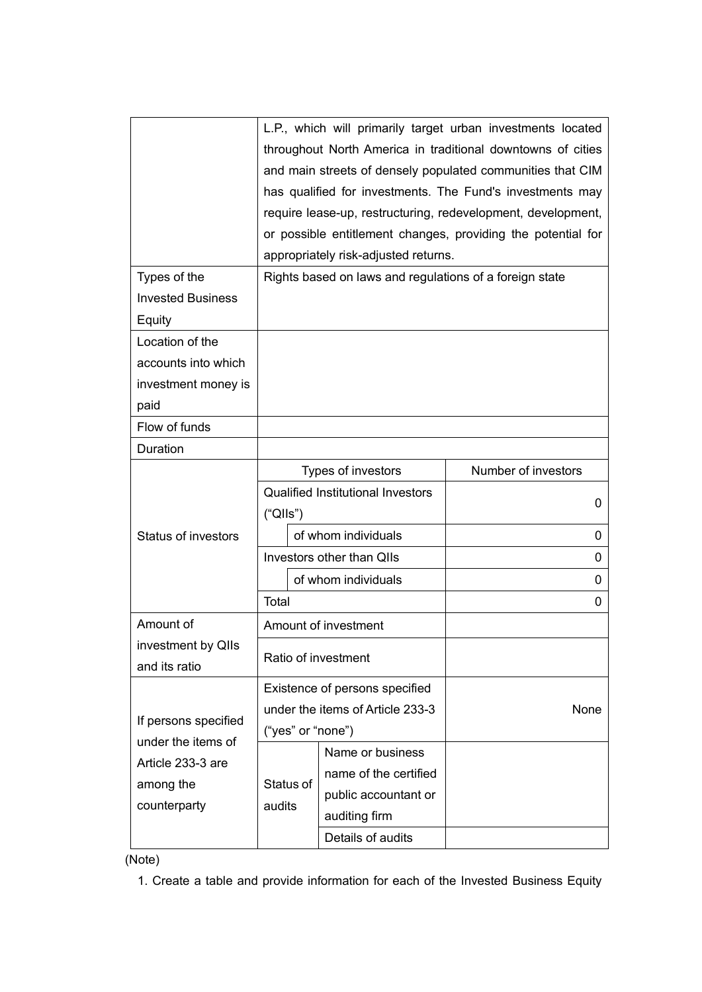|                                                                                              | L.P., which will primarily target urban investments located<br>throughout North America in traditional downtowns of cities<br>and main streets of densely populated communities that CIM<br>has qualified for investments. The Fund's investments may<br>require lease-up, restructuring, redevelopment, development,<br>or possible entitlement changes, providing the potential for<br>appropriately risk-adjusted returns. |                                                                                                         |                               |  |
|----------------------------------------------------------------------------------------------|-------------------------------------------------------------------------------------------------------------------------------------------------------------------------------------------------------------------------------------------------------------------------------------------------------------------------------------------------------------------------------------------------------------------------------|---------------------------------------------------------------------------------------------------------|-------------------------------|--|
| Types of the<br><b>Invested Business</b>                                                     |                                                                                                                                                                                                                                                                                                                                                                                                                               | Rights based on laws and regulations of a foreign state                                                 |                               |  |
| Equity                                                                                       |                                                                                                                                                                                                                                                                                                                                                                                                                               |                                                                                                         |                               |  |
| Location of the                                                                              |                                                                                                                                                                                                                                                                                                                                                                                                                               |                                                                                                         |                               |  |
| accounts into which                                                                          |                                                                                                                                                                                                                                                                                                                                                                                                                               |                                                                                                         |                               |  |
| investment money is                                                                          |                                                                                                                                                                                                                                                                                                                                                                                                                               |                                                                                                         |                               |  |
| paid                                                                                         |                                                                                                                                                                                                                                                                                                                                                                                                                               |                                                                                                         |                               |  |
| Flow of funds                                                                                |                                                                                                                                                                                                                                                                                                                                                                                                                               |                                                                                                         |                               |  |
| Duration                                                                                     |                                                                                                                                                                                                                                                                                                                                                                                                                               |                                                                                                         |                               |  |
| <b>Status of investors</b>                                                                   | Types of investors<br><b>Qualified Institutional Investors</b><br>("QIls")<br>of whom individuals                                                                                                                                                                                                                                                                                                                             |                                                                                                         | Number of investors<br>0<br>0 |  |
|                                                                                              | Investors other than QIIs                                                                                                                                                                                                                                                                                                                                                                                                     |                                                                                                         | 0                             |  |
|                                                                                              | of whom individuals                                                                                                                                                                                                                                                                                                                                                                                                           |                                                                                                         | 0                             |  |
|                                                                                              | Total                                                                                                                                                                                                                                                                                                                                                                                                                         |                                                                                                         | 0                             |  |
| Amount of                                                                                    |                                                                                                                                                                                                                                                                                                                                                                                                                               | Amount of investment                                                                                    |                               |  |
| investment by QIIs<br>and its ratio                                                          | Ratio of investment                                                                                                                                                                                                                                                                                                                                                                                                           |                                                                                                         |                               |  |
| If persons specified<br>under the items of<br>Article 233-3 are<br>among the<br>counterparty | Existence of persons specified<br>under the items of Article 233-3<br>("yes" or "none")                                                                                                                                                                                                                                                                                                                                       |                                                                                                         | None                          |  |
|                                                                                              | Status of<br>audits                                                                                                                                                                                                                                                                                                                                                                                                           | Name or business<br>name of the certified<br>public accountant or<br>auditing firm<br>Details of audits |                               |  |

(Note)

1. Create a table and provide information for each of the Invested Business Equity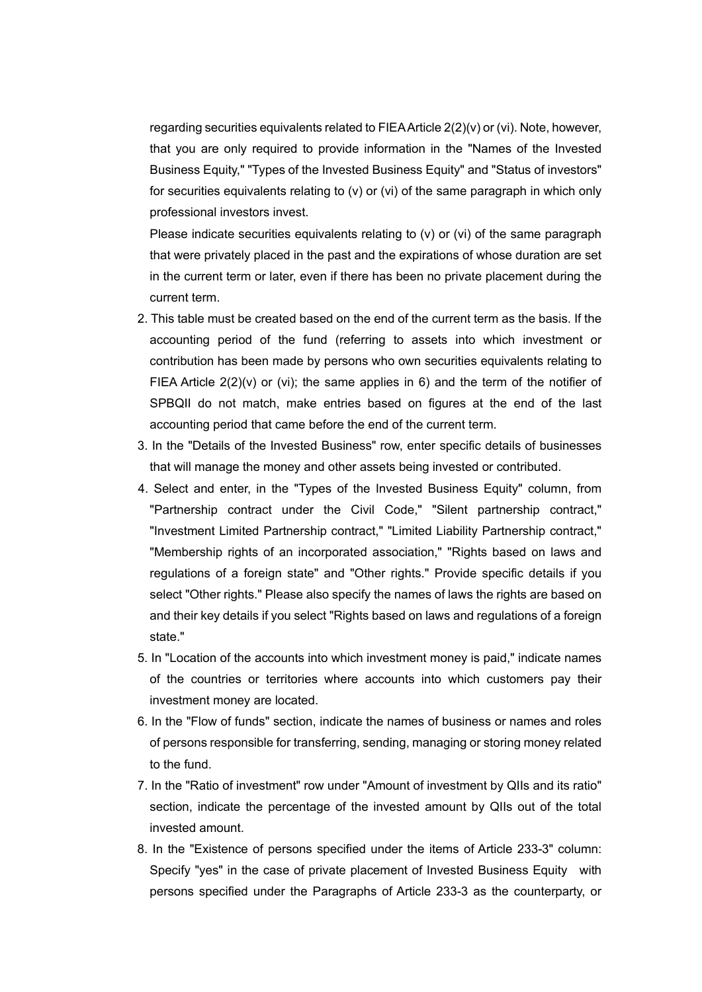regarding securities equivalents related to FIEA Article 2(2)(v) or (vi). Note, however, that you are only required to provide information in the "Names of the Invested Business Equity," "Types of the Invested Business Equity" and "Status of investors" for securities equivalents relating to (v) or (vi) of the same paragraph in which only professional investors invest.

 Please indicate securities equivalents relating to (v) or (vi) of the same paragraph that were privately placed in the past and the expirations of whose duration are set in the current term or later, even if there has been no private placement during the current term.

- 2. This table must be created based on the end of the current term as the basis. If the accounting period of the fund (referring to assets into which investment or contribution has been made by persons who own securities equivalents relating to FIEA Article  $2(2)(v)$  or (vi); the same applies in 6) and the term of the notifier of SPBQII do not match, make entries based on figures at the end of the last accounting period that came before the end of the current term.
- 3. In the "Details of the Invested Business" row, enter specific details of businesses that will manage the money and other assets being invested or contributed.
- 4. Select and enter, in the "Types of the Invested Business Equity" column, from "Partnership contract under the Civil Code," "Silent partnership contract," "Investment Limited Partnership contract," "Limited Liability Partnership contract," "Membership rights of an incorporated association," "Rights based on laws and regulations of a foreign state" and "Other rights." Provide specific details if you select "Other rights." Please also specify the names of laws the rights are based on and their key details if you select "Rights based on laws and regulations of a foreign state."
- 5. In "Location of the accounts into which investment money is paid," indicate names of the countries or territories where accounts into which customers pay their investment money are located.
- 6. In the "Flow of funds" section, indicate the names of business or names and roles of persons responsible for transferring, sending, managing or storing money related to the fund.
- 7. In the "Ratio of investment" row under "Amount of investment by QIIs and its ratio" section, indicate the percentage of the invested amount by QIIs out of the total invested amount.
- 8. In the "Existence of persons specified under the items of Article 233-3" column: Specify "yes" in the case of private placement of Invested Business Equity with persons specified under the Paragraphs of Article 233-3 as the counterparty, or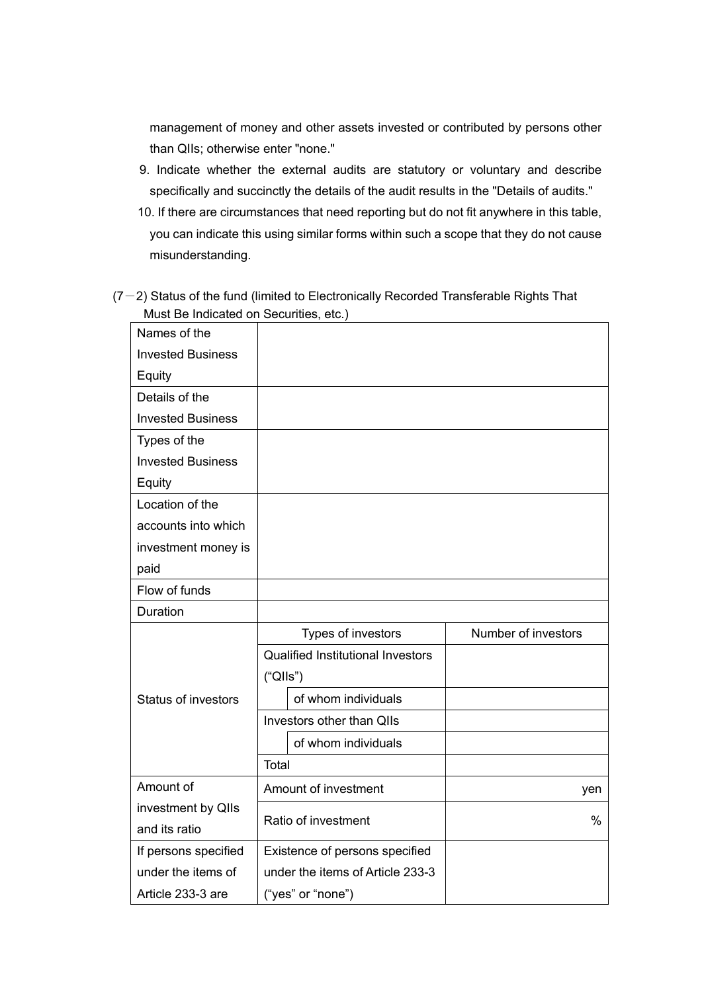management of money and other assets invested or contributed by persons other than QIIs; otherwise enter "none."

- 9. Indicate whether the external audits are statutory or voluntary and describe specifically and succinctly the details of the audit results in the "Details of audits."
- 10. If there are circumstances that need reporting but do not fit anywhere in this table, you can indicate this using similar forms within such a scope that they do not cause misunderstanding.
- $(7-2)$  Status of the fund (limited to Electronically Recorded Transferable Rights That Must Be Indicated on Securities, etc.)

| Names of the               |                                          |                     |
|----------------------------|------------------------------------------|---------------------|
| <b>Invested Business</b>   |                                          |                     |
| Equity                     |                                          |                     |
| Details of the             |                                          |                     |
| <b>Invested Business</b>   |                                          |                     |
| Types of the               |                                          |                     |
| <b>Invested Business</b>   |                                          |                     |
| Equity                     |                                          |                     |
| Location of the            |                                          |                     |
| accounts into which        |                                          |                     |
| investment money is        |                                          |                     |
| paid                       |                                          |                     |
| Flow of funds              |                                          |                     |
| Duration                   |                                          |                     |
|                            | Types of investors                       | Number of investors |
|                            | <b>Qualified Institutional Investors</b> |                     |
|                            | ("Qlls")                                 |                     |
| <b>Status of investors</b> | of whom individuals                      |                     |
|                            | Investors other than QIIs                |                     |
|                            | of whom individuals                      |                     |
|                            | Total                                    |                     |
| Amount of                  | Amount of investment                     | yen                 |
| investment by QIIs         |                                          |                     |
| and its ratio              | Ratio of investment                      | $\frac{0}{0}$       |
| If persons specified       | Existence of persons specified           |                     |
| under the items of         | under the items of Article 233-3         |                     |
| Article 233-3 are          | ("yes" or "none")                        |                     |